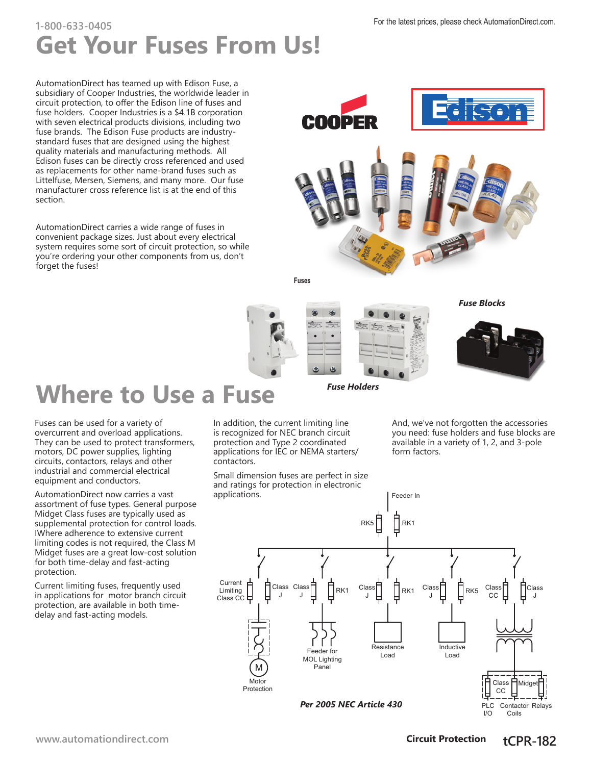## **Get Your Fuses From Us!** For the latest prices, please check [AutomationDirect.com.](http://automationdirect.com) **1-800-633-0405**

AutomationDirect has teamed up with Edison Fuse, a subsidiary of Cooper Industries, the worldwide leader in circuit protection, to offer the Edison line of fuses and fuse holders. Cooper Industries is a \$4.1B corporation with seven electrical products divisions, including two fuse brands. The Edison Fuse products are industrystandard fuses that are designed using the highest quality materials and manufacturing methods. All Edison fuses can be directly cross referenced and used as replacements for other name-brand fuses such as Littelfuse, Mersen, Siemens, and many more. Our fuse manufacturer cross reference list is at the end of this section.

AutomationDirect carries a wide range of fuses in convenient package sizes. Just about every electrical system requires some sort of circuit protection, so while you're ordering your other components from us, don't forget the fuses!





# **Where to Use a Fuse**

Fuses can be used for a variety of overcurrent and overload applications. They can be used to protect transformers, motors, DC power supplies, lighting circuits, contactors, relays and other industrial and commercial electrical equipment and conductors.

AutomationDirect now carries a vast assortment of fuse types. General purpose Midget Class fuses are typically used as supplemental protection for control loads. IWhere adherence to extensive current limiting codes is not required, the Class M Midget fuses are a great low-cost solution for both time-delay and fast-acting protection.

Current limiting fuses, frequently used in applications for motor branch circuit protection, are available in both timedelay and fast-acting models.

In addition, the current limiting line is recognized for NEC branch circuit protection and Type 2 coordinated applications for IEC or NEMA starters/ contactors.

Small dimension fuses are perfect in size and ratings for protection in electronic applications.

And, we've not forgotten the accessories you need: fuse holders and fuse blocks are available in a variety of 1, 2, and 3-pole form factors.



**[www.automationdirect.com](http://www.automationdirect.com) Circuit Protection tCPR-182** 

 $I/O$ 

Coils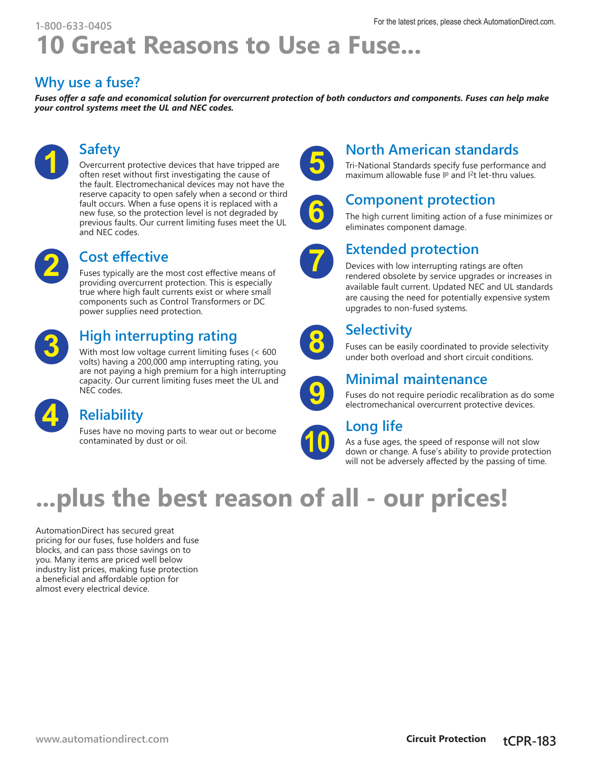## **10 Great Reasons to Use a Fuse...** For the latest prices, please check [AutomationDirect.com.](http://automationdirect.com) **1-800-633-0405**

#### **Why use a fuse?**

*Fuses offer a safe and economical solution for overcurrent protection of both conductors and components. Fuses can help make your control systems meet the UL and NEC codes.*



#### **Safety**

Overcurrent protective devices that have tripped are often reset without first investigating the cause of the fault. Electromechanical devices may not have the reserve capacity to open safely when a second or third fault occurs. When a fuse opens it is replaced with a new fuse, so the protection level is not degraded by previous faults. Our current limiting fuses meet the UL and NEC codes.



#### **Cost effective**

Fuses typically are the most cost effective means of providing overcurrent protection. This is especially true where high fault currents exist or where small components such as Control Transformers or DC power supplies need protection.



### **High interrupting rating**

With most low voltage current limiting fuses (< 600 volts) having a 200,000 amp interrupting rating, you are not paying a high premium for a high interrupting capacity. Our current limiting fuses meet the UL and NEC codes.



#### **Reliability**

Fuses have no moving parts to wear out or become contaminated by dust or oil.



### **North American standards**

Tri-National Standards specify fuse performance and maximum allowable fuse  $IP$  and  $I<sup>2</sup>t$  let-thru values.



#### **Component protection**

The high current limiting action of a fuse minimizes or eliminates component damage.



#### **Extended protection**

Devices with low interrupting ratings are often rendered obsolete by service upgrades or increases in available fault current. Updated NEC and UL standards are causing the need for potentially expensive system upgrades to non-fused systems.



#### **Selectivity**

Fuses can be easily coordinated to provide selectivity under both overload and short circuit conditions.



#### **Minimal maintenance**

Fuses do not require periodic recalibration as do some electromechanical overcurrent protective devices.



#### **Long life**

As a fuse ages, the speed of response will not slow down or change. A fuse's ability to provide protection will not be adversely affected by the passing of time.

# **...plus the best reason of all - our prices!**

AutomationDirect has secured great pricing for our fuses, fuse holders and fuse blocks, and can pass those savings on to you. Many items are priced well below industry list prices, making fuse protection a beneficial and affordable option for almost every electrical device.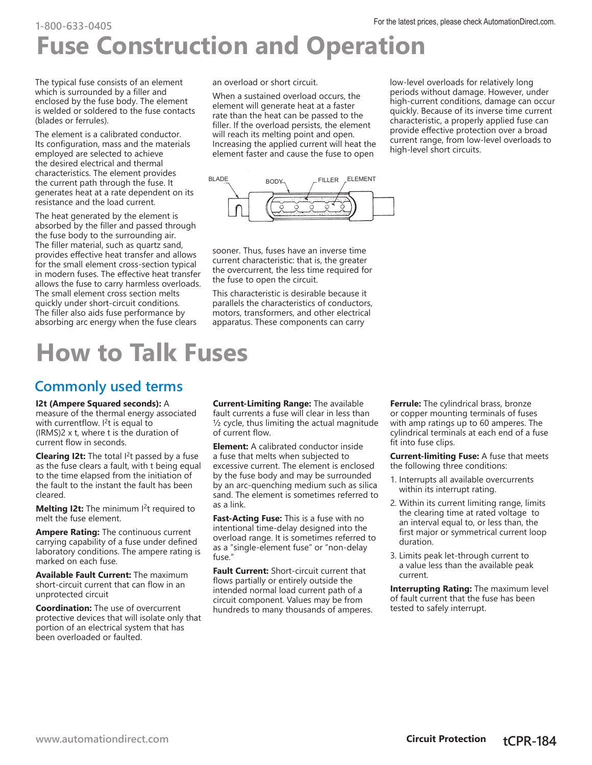## **Fuse Construction and Operation** For the latest prices, please check [AutomationDirect.com.](http://automationdirect.com) **1-800-633-0405**

The typical fuse consists of an element which is surrounded by a filler and enclosed by the fuse body. The element is welded or soldered to the fuse contacts (blades or ferrules).

The element is a calibrated conductor. Its configuration, mass and the materials employed are selected to achieve the desired electrical and thermal characteristics. The element provides the current path through the fuse. It generates heat at a rate dependent on its resistance and the load current.

The heat generated by the element is absorbed by the filler and passed through the fuse body to the surrounding air. The filler material, such as quartz sand, provides effective heat transfer and allows for the small element cross-section typical in modern fuses. The effective heat transfer allows the fuse to carry harmless overloads. The small element cross section melts quickly under short-circuit conditions. The filler also aids fuse performance by absorbing arc energy when the fuse clears

# **How to Talk Fuses**

#### **Commonly used terms**

**I2t (Ampere Squared seconds):** A measure of the thermal energy associated with currentflow.  $I<sup>2</sup>$ t is equal to (IRMS)2 x t, where t is the duration of current flow in seconds.

**Clearing I2t:** The total I<sup>2</sup>t passed by a fuse as the fuse clears a fault, with t being equal to the time elapsed from the initiation of the fault to the instant the fault has been cleared.

**Melting I2t:** The minimum I<sup>2</sup>t required to melt the fuse element.

**Ampere Rating:** The continuous current carrying capability of a fuse under defined laboratory conditions. The ampere rating is marked on each fuse.

**Available Fault Current:** The maximum short-circuit current that can flow in an unprotected circuit

**Coordination:** The use of overcurrent protective devices that will isolate only that portion of an electrical system that has been overloaded or faulted.

an overload or short circuit.

When a sustained overload occurs, the element will generate heat at a faster rate than the heat can be passed to the filler. If the overload persists, the element will reach its melting point and open. Increasing the applied current will heat the element faster and cause the fuse to open

low-level overloads for relatively long periods without damage. However, under high-current conditions, damage can occur quickly. Because of its inverse time current characteristic, a properly applied fuse can provide effective protection over a broad current range, from low-level overloads to high-level short circuits.



sooner. Thus, fuses have an inverse time current characteristic: that is, the greater the overcurrent, the less time required for the fuse to open the circuit.

This characteristic is desirable because it parallels the characteristics of conductors, motors, transformers, and other electrical apparatus. These components can carry

**Current-Limiting Range:** The available fault currents a fuse will clear in less than  $\frac{1}{2}$  cycle, thus limiting the actual magnitude of current flow.

**Element:** A calibrated conductor inside a fuse that melts when subjected to excessive current. The element is enclosed by the fuse body and may be surrounded by an arc-quenching medium such as silica sand. The element is sometimes referred to as a link.

**Fast-Acting Fuse:** This is a fuse with no intentional time-delay designed into the overload range. It is sometimes referred to as a "single-element fuse" or "non-delay fuse."

**Fault Current:** Short-circuit current that flows partially or entirely outside the intended normal load current path of a circuit component. Values may be from hundreds to many thousands of amperes.

**Ferrule:** The cylindrical brass, bronze or copper mounting terminals of fuses with amp ratings up to 60 amperes. The cylindrical terminals at each end of a fuse fit into fuse clips.

**Current-limiting Fuse:** A fuse that meets the following three conditions:

- 1. Interrupts all available overcurrents within its interrupt rating.
- 2. Within its current limiting range, limits the clearing time at rated voltage to an interval equal to, or less than, the first major or symmetrical current loop duration.
- 3. Limits peak let-through current to a value less than the available peak current.

**Interrupting Rating:** The maximum level of fault current that the fuse has been tested to safely interrupt.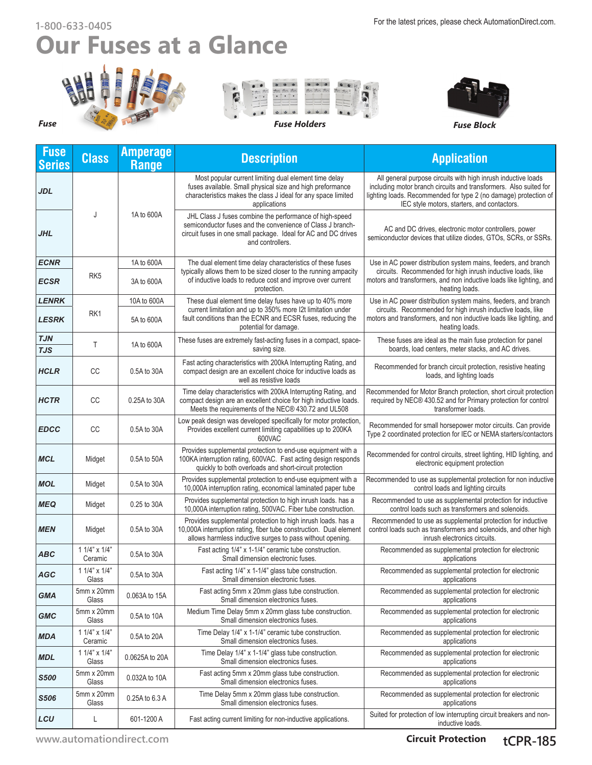# **Our Fuses at a Glance**









| <b>Fuse</b><br><b>Series</b> | <b>Class</b>                  | <b>Amperage</b><br><b>Range</b> | <b>Description</b>                                                                                                                                                                                          | <b>Application</b>                                                                                                                                                                                                                                    |  |  |  |
|------------------------------|-------------------------------|---------------------------------|-------------------------------------------------------------------------------------------------------------------------------------------------------------------------------------------------------------|-------------------------------------------------------------------------------------------------------------------------------------------------------------------------------------------------------------------------------------------------------|--|--|--|
| <b>JDL</b>                   |                               |                                 | Most popular current limiting dual element time delay<br>fuses available. Small physical size and high preformance<br>characteristics makes the class J ideal for any space limited<br>applications         | All general purpose circuits with high inrush inductive loads<br>including motor branch circuits and transformers. Also suited for<br>lighting loads. Recommended for type 2 (no damage) protection of<br>IEC style motors, starters, and contactors. |  |  |  |
| JHL                          | J                             | 1A to 600A                      | JHL Class J fuses combine the performance of high-speed<br>semiconductor fuses and the convenience of Class J branch-<br>circuit fuses in one small package. Ideal for AC and DC drives<br>and controllers. | AC and DC drives, electronic motor controllers, power<br>semiconductor devices that utilize diodes, GTOs, SCRs, or SSRs.                                                                                                                              |  |  |  |
| <b>ECNR</b>                  |                               | 1A to 600A                      | The dual element time delay characteristics of these fuses                                                                                                                                                  | Use in AC power distribution system mains, feeders, and branch                                                                                                                                                                                        |  |  |  |
| ECSR                         | RK <sub>5</sub><br>3A to 600A |                                 | typically allows them to be sized closer to the running ampacity<br>of inductive loads to reduce cost and improve over current<br>protection.                                                               | circuits. Recommended for high inrush inductive loads, like<br>motors and transformers, and non inductive loads like lighting, and<br>heating loads.                                                                                                  |  |  |  |
| <b>LENRK</b>                 |                               | 10A to 600A                     | These dual element time delay fuses have up to 40% more                                                                                                                                                     | Use in AC power distribution system mains, feeders, and branch                                                                                                                                                                                        |  |  |  |
| <b>LESRK</b>                 | RK1                           | 5A to 600A                      | current limitation and up to 350% more I2t limitation under<br>fault conditions than the ECNR and ECSR fuses, reducing the<br>potential for damage.                                                         | circuits. Recommended for high inrush inductive loads, like<br>motors and transformers, and non inductive loads like lighting, and<br>heating loads.                                                                                                  |  |  |  |
| TJN<br><b>TJS</b>            | Τ                             | 1A to 600A                      | These fuses are extremely fast-acting fuses in a compact, space-<br>saving size.                                                                                                                            | These fuses are ideal as the main fuse protection for panel<br>boards, load centers, meter stacks, and AC drives.                                                                                                                                     |  |  |  |
| <b>HCLR</b>                  | CC                            | 0.5A to 30A                     | Fast acting characteristics with 200kA Interrupting Rating, and<br>compact design are an excellent choice for inductive loads as<br>well as resistive loads                                                 | Recommended for branch circuit protection, resistive heating<br>loads, and lighting loads                                                                                                                                                             |  |  |  |
| <b>HCTR</b>                  | СC                            | 0.25A to 30A                    | Time delay characteristics with 200kA Interrupting Rating, and<br>compact design are an excellent choice for high inductive loads.<br>Meets the requirements of the NEC® 430.72 and UL508                   | Recommended for Motor Branch protection, short circuit protection<br>required by NEC® 430.52 and for Primary protection for control<br>transformer loads.                                                                                             |  |  |  |
| <b>EDCC</b>                  | CC                            | 0.5A to 30A                     | Low peak design was developed specifically for motor protection,<br>Provides excellent current limiting capabilities up to 200KA<br>600VAC                                                                  | Recommended for small horsepower motor circuits. Can provide<br>Type 2 coordinated protection for IEC or NEMA starters/contactors                                                                                                                     |  |  |  |
| MCL                          | Midget                        | 0.5A to 50A                     | Provides supplemental protection to end-use equipment with a<br>100KA interruption rating, 600VAC. Fast acting design responds<br>quickly to both overloads and short-circuit protection                    | Recommended for control circuits, street lighting, HID lighting, and<br>electronic equipment protection                                                                                                                                               |  |  |  |
| <b>MOL</b>                   | Midget                        | 0.5A to 30A                     | Provides supplemental protection to end-use equipment with a<br>10,000A interruption rating, economical laminated paper tube                                                                                | Recommended to use as supplemental protection for non inductive<br>control loads and lighting circuits                                                                                                                                                |  |  |  |
| <b>MEQ</b>                   | Midget                        | 0.25 to 30A                     | Provides supplemental protection to high inrush loads. has a<br>10,000A interruption rating, 500VAC. Fiber tube construction.                                                                               | Recommended to use as supplemental protection for inductive<br>control loads such as transformers and solenoids.                                                                                                                                      |  |  |  |
| <b>MEN</b>                   | Midget                        | 0.5A to 30A                     | Provides supplemental protection to high inrush loads, has a<br>10,000A interruption rating, fiber tube construction. Dual element<br>allows harmless inductive surges to pass without opening.             | Recommended to use as supplemental protection for inductive<br>control loads such as transformers and solenoids, and other high<br>inrush electronics circuits.                                                                                       |  |  |  |
| <b>ABC</b>                   | 1 1/4" x 1/4"<br>Ceramic      | 0.5A to 30A                     | Fast acting 1/4" x 1-1/4" ceramic tube construction.<br>Small dimension electronic fuses.                                                                                                                   | Recommended as supplemental protection for electronic<br>applications                                                                                                                                                                                 |  |  |  |
| <b>AGC</b>                   | $11/4" \times 1/4"$<br>Glass  | 0.5A to 30A                     | Fast acting 1/4" x 1-1/4" glass tube construction.<br>Small dimension electronic fuses.                                                                                                                     | Recommended as supplemental protection for electronic<br>applications                                                                                                                                                                                 |  |  |  |
| <b>GMA</b>                   | 5mm x 20mm<br>Glass           | 0.063A to 15A                   | Fast acting 5mm x 20mm glass tube construction.<br>Small dimension electronics fuses.                                                                                                                       | Recommended as supplemental protection for electronic<br>applications                                                                                                                                                                                 |  |  |  |
| <b>GMC</b>                   | 5mm x 20mm<br>Glass           | 0.5A to 10A                     | Medium Time Delay 5mm x 20mm glass tube construction.<br>Small dimension electronics fuses.                                                                                                                 | Recommended as supplemental protection for electronic<br>applications                                                                                                                                                                                 |  |  |  |
| <b>MDA</b>                   | $11/4$ " x $1/4$ "<br>Ceramic | 0.5A to 20A                     | Time Delay 1/4" x 1-1/4" ceramic tube construction.<br>Small dimension electronics fuses.                                                                                                                   | Recommended as supplemental protection for electronic<br>applications                                                                                                                                                                                 |  |  |  |
| <b>MDL</b>                   | 1 1/4" x 1/4"<br>Glass        | 0.0625A to 20A                  | Time Delay 1/4" x 1-1/4" glass tube construction.<br>Small dimension electronics fuses.                                                                                                                     | Recommended as supplemental protection for electronic<br>applications                                                                                                                                                                                 |  |  |  |
| <b>S500</b>                  | 5mm x 20mm<br>Glass           | 0.032A to 10A                   | Fast acting 5mm x 20mm glass tube construction.<br>Small dimension electronics fuses.                                                                                                                       | Recommended as supplemental protection for electronic<br>applications                                                                                                                                                                                 |  |  |  |
| S506                         | 5mm x 20mm<br>Glass           | 0.25A to 6.3 A                  | Time Delay 5mm x 20mm glass tube construction.<br>Small dimension electronics fuses.                                                                                                                        | Recommended as supplemental protection for electronic<br>applications                                                                                                                                                                                 |  |  |  |
| LCU                          | L                             | 601-1200 A                      | Fast acting current limiting for non-inductive applications.                                                                                                                                                | Suited for protection of low interrupting circuit breakers and non-<br>inductive loads.                                                                                                                                                               |  |  |  |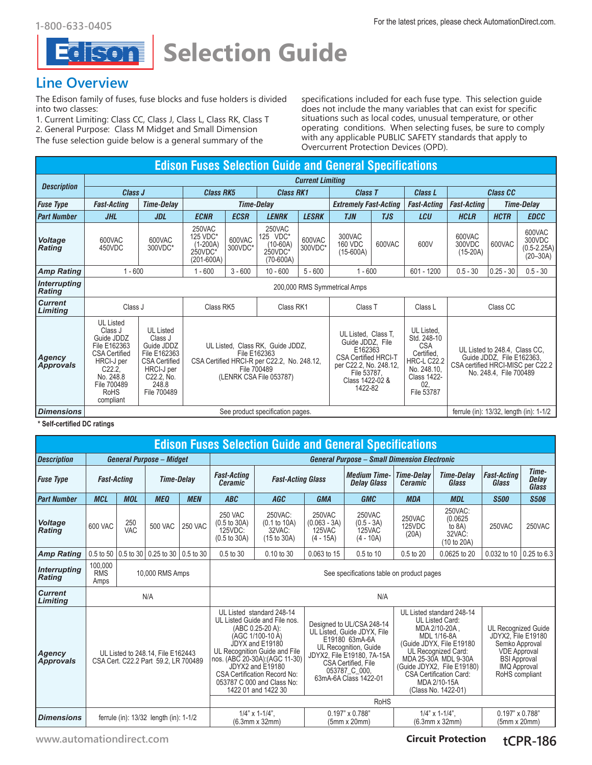

**Selection Guide**

#### **Line Overview**

The Edison family of fuses, fuse blocks and fuse holders is divided into two classes:

1. Current Limiting: Class CC, Class J, Class L, Class RK, Class T 2. General Purpose: Class M Midget and Small Dimension

The fuse selection guide below is a general summary of the

specifications included for each fuse type. This selection guide does not include the many variables that can exist for specific situations such as local codes, unusual temperature, or other operating conditions. When selecting fuses, be sure to comply with any applicable PUBLIC SAFETY standards that apply to Overcurrent Protection Devices (OPD).

#### **Edison Fuses Selection Guide and General Specifications** *Description Current Limiting Class J Class RK5 Class RK1 Class T Class L Class CC Fuse Type Fast-Acting Time-Delay Time-Delay Extremely Fast-Acting Fast-Acting Fast-Acting Time-Delay Part Number JHL JDL ECNR ECSR LENRK LESRK TJN TJS LCU HCLR HCTR EDCC* 250VAC 250VAC 600VAC 300VAC 125 VDC\* 125 VDC\* 600VAC 600VAC 600VAC 600VAC *Voltage*  (1-200A) (10-60A) 160 VDC 600VAC 600V 300VDC 600VAC 450VDC 300VDC\* 300VDC\* 300VDC\* *Rating* (0.5-2.25A) 250VDC\* 250VDC\* (15-600A) (15-20A) (201-600A) (70-600A) *Amp Rating* | 1 - 600 | 1 - 600 | 3 - 600 | 10 - 600 | 5 - 600 | 1 - 600 | 601 - 1200 | 0.5 - 30 | 0.25 - 30 | 0.5 - 30 *Interrupting Rating* 200,000 RMS Symmetrical Amps *Current*  **Limiting** | Class J Class RK5 | Class RK1 | Class T | Class L | Class CC<br>**Limiting** | Class J | Class RK5 | Class RK1 | Class T | Class L | Class CC UL Listed  $\overline{\phantom{a}}$

| Agency<br><b>Approvals</b> | Class J<br>Guide JDDZ<br>File E162363<br><b>CSA Certified</b><br>HRCI-J per<br>C22.2.<br>No. 248.8<br>File 700489<br><b>RoHS</b><br>compliant | <b>UL Listed</b><br>Class J<br>Guide JDDZ<br>File E162363<br><b>CSA Certified</b><br>HRCI-J per<br>C22.2. No.<br>248.8<br>File 700489 | UL Listed, Class RK, Guide JDDZ,<br>File E162363<br>CSA Certified HRCI-R per C22.2. No. 248.12.<br>File 700489<br>(LENRK CSA File 053787) | UL Listed, Class T.<br>Guide JDDZ. File<br>E162363<br><b>CSA Certified HRCI-T</b><br>per C22.2, No. 248.12,<br>File 53787.<br>Class 1422-02 &<br>1422-82 | UL Listed.<br>Std. 248-10<br><b>CSA</b><br>Certified,<br><b>HRC-L C22.2</b><br>No. 248.10.<br>Class 1422-<br>02.<br>File 53787 | UL Listed to 248.4. Class CC.<br>Guide JDDZ, File E162363,<br>CSA certified HRCI-MISC per C22.2<br>No. 248.4. File 700489 |
|----------------------------|-----------------------------------------------------------------------------------------------------------------------------------------------|---------------------------------------------------------------------------------------------------------------------------------------|-------------------------------------------------------------------------------------------------------------------------------------------|----------------------------------------------------------------------------------------------------------------------------------------------------------|--------------------------------------------------------------------------------------------------------------------------------|---------------------------------------------------------------------------------------------------------------------------|
| <b>Dimensions</b>          |                                                                                                                                               | ferrule (in): 13/32, length (in): 1-1/2                                                                                               |                                                                                                                                           |                                                                                                                                                          |                                                                                                                                |                                                                                                                           |

**\* Self-certified DC ratings**

| <b>Edison Fuses Selection Guide and General Specifications</b> |                                                                           |                   |                                    |                                      |                                                                                                                                                                                                                                                                                                          |                                                                     |                                                                                                                                                                                                    |                                                 |                                                                                                                                                                                                                                                                |                                                        |                                                                                                                                                                  |             |  |
|----------------------------------------------------------------|---------------------------------------------------------------------------|-------------------|------------------------------------|--------------------------------------|----------------------------------------------------------------------------------------------------------------------------------------------------------------------------------------------------------------------------------------------------------------------------------------------------------|---------------------------------------------------------------------|----------------------------------------------------------------------------------------------------------------------------------------------------------------------------------------------------|-------------------------------------------------|----------------------------------------------------------------------------------------------------------------------------------------------------------------------------------------------------------------------------------------------------------------|--------------------------------------------------------|------------------------------------------------------------------------------------------------------------------------------------------------------------------|-------------|--|
| <b>Description</b>                                             | <b>General Purpose - Midget</b>                                           |                   |                                    |                                      | <b>General Purpose - Small Dimension Electronic</b>                                                                                                                                                                                                                                                      |                                                                     |                                                                                                                                                                                                    |                                                 |                                                                                                                                                                                                                                                                |                                                        |                                                                                                                                                                  |             |  |
| <b>Fuse Type</b>                                               | <b>Time-Delay</b><br><b>Fast-Acting</b>                                   |                   |                                    | <b>Fast-Acting</b><br><b>Ceramic</b> | <b>Fast-Acting Glass</b>                                                                                                                                                                                                                                                                                 |                                                                     | <b>Medium Time-</b><br><b>Delay Glass</b>                                                                                                                                                          | <b>Time-Delav</b><br><b>Ceramic</b>             | <b>Time-Delav</b><br>Glass                                                                                                                                                                                                                                     | <b>Fast-Acting</b><br>Glass                            | Time-<br><b>Delay</b><br>Glass                                                                                                                                   |             |  |
| <b>Part Number</b>                                             | <b>MCL</b>                                                                | <b>MOL</b>        | <b>MEQ</b>                         | <b>MEN</b>                           | <b>ABC</b>                                                                                                                                                                                                                                                                                               | <b>AGC</b>                                                          | <b>GMA</b>                                                                                                                                                                                         | <b>GMC</b>                                      | <b>MDA</b>                                                                                                                                                                                                                                                     | <b>MDL</b>                                             | <b>S500</b>                                                                                                                                                      | <b>S506</b> |  |
| <b>Voltage</b><br><b>Rating</b>                                | 600 VAC                                                                   | 250<br><b>VAC</b> | <b>500 VAC</b>                     | <b>250 VAC</b>                       | <b>250 VAC</b><br>$(0.5 \text{ to } 30 \text{A})$<br>125VDC:<br>$(0.5 \text{ to } 30 \text{A})$                                                                                                                                                                                                          | 250VAC:<br>(0.1 to 10A)<br>32VAC:<br>$(15 \text{ to } 30 \text{A})$ | 250VAC<br>$(0.063 - 3A)$<br>125VAC<br>$(4 - 15A)$                                                                                                                                                  | 250VAC<br>$(0.5 - 3A)$<br>125VAC<br>$(4 - 10A)$ | 250VAC<br>125VDC<br>(20A)                                                                                                                                                                                                                                      | 250VAC:<br>(0.0625)<br>to 8A)<br>32VAC:<br>(10 to 20A) | 250VAC                                                                                                                                                           | 250VAC      |  |
| <b>Amp Rating</b>                                              |                                                                           |                   | 0.5 to 50   0.5 to 30   0.25 to 30 | 0.5 to 30                            | 0.5 to 30                                                                                                                                                                                                                                                                                                | 0.10 to 30                                                          | 0.063 to 15                                                                                                                                                                                        | 0.5 to 10                                       | 0.5 to 20                                                                                                                                                                                                                                                      | 0.0625 to 20                                           | 0.032 to 10   0.25 to 6.3                                                                                                                                        |             |  |
| Interrupting<br><b>Rating</b>                                  | 100,000<br><b>RMS</b><br>Amps                                             | 10,000 RMS Amps   |                                    |                                      | See specifications table on product pages                                                                                                                                                                                                                                                                |                                                                     |                                                                                                                                                                                                    |                                                 |                                                                                                                                                                                                                                                                |                                                        |                                                                                                                                                                  |             |  |
| <b>Current</b><br>Limitina                                     | N/A                                                                       |                   |                                    |                                      | N/A                                                                                                                                                                                                                                                                                                      |                                                                     |                                                                                                                                                                                                    |                                                 |                                                                                                                                                                                                                                                                |                                                        |                                                                                                                                                                  |             |  |
| Agency<br><b>Approvals</b>                                     | UL Listed to 248.14. File E162443<br>CSA Cert. C22.2 Part 59.2, LR 700489 |                   |                                    |                                      | UL Listed standard 248-14<br>UL Listed Guide and File nos.<br>(ABC 0.25-20 A):<br>(AGC 1/100-10 A)<br>JDYX and E19180<br>UL Recognition Guide and File<br>nos. (ABC 20-30A): (AGC 11-30)<br>JDYX2 and E19180<br><b>CSA Certification Record No:</b><br>053787 C 000 and Class No:<br>1422 01 and 1422 30 |                                                                     | Designed to UL/CSA 248-14<br>UL Listed, Guide JDYX, File<br>E19180 63mA-6A<br>UL Recognition, Guide<br>JDYX2, File E19180, 7A-15A<br>CSA Certified, File<br>053787 C 000,<br>63mA-6A Class 1422-01 |                                                 | UL Listed standard 248-14<br>UL Listed Card:<br>MDA 2/10-20A.<br>MDL 1/16-8A<br>(Guide JDYX, File E19180<br>UL Recognized Card:<br>MDA 25-30A MDL 9-30A<br>(Guide JDYX2, File E19180)<br><b>CSA Certification Card:</b><br>MDA 2/10-15A<br>(Class No. 1422-01) |                                                        | <b>UL Recognized Guide</b><br><b>JDYX2. File E19180</b><br>Semko Approval<br><b>VDE Approval</b><br><b>BSI Approval</b><br><b>IMQ Approval</b><br>RoHS compliant |             |  |
|                                                                |                                                                           |                   |                                    |                                      |                                                                                                                                                                                                                                                                                                          |                                                                     |                                                                                                                                                                                                    | <b>RoHS</b>                                     |                                                                                                                                                                                                                                                                |                                                        |                                                                                                                                                                  |             |  |
| <b>Dimensions</b>                                              | ferrule (in): 13/32 length (in): 1-1/2                                    |                   |                                    |                                      |                                                                                                                                                                                                                                                                                                          | $1/4$ " x $1-1/4$ ".<br>$(6.3mm \times 32mm)$                       | $0.197" \times 0.788"$<br>$(5mm \times 20mm)$                                                                                                                                                      |                                                 | $1/4$ " x 1-1/4".<br>$(6.3mm \times 32mm)$                                                                                                                                                                                                                     |                                                        | $0.197" \times 0.788"$<br>$(5mm \times 20mm)$                                                                                                                    |             |  |

**[www.automationdirect.com](http://www.automationdirect.com) Circuit Protection tCPR-186** 

600VAC 300VDC

 $(20 - 30A)$